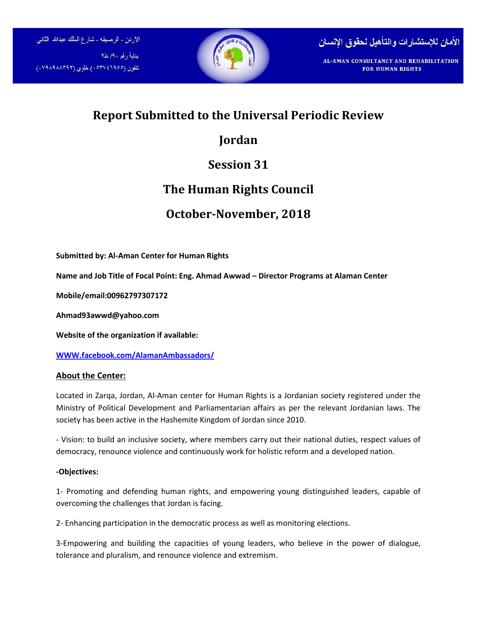



**FOR HUMAN RIGHTS** 

## **Report Submitted to the Universal Periodic Review**

# **Jordan**

# **Session 31**

## **The Human Rights Council**

## **October-November, 2018**

**Submitted by: Al-Aman Center for Human Rights**

**Name and Job Title of Focal Point: Eng. Ahmad Awwad – Director Programs at Alaman Center**

**Mobile/email:00962797307172**

**Ahmad93awwd@yahoo.com**

**Website of the organization if available:**

**[WWW.facebook.com/AlamanAmbassadors](http://www.facebook.com/AlamanAmbassadors/)/**

### **About the Center:**

Located in Zarqa, Jordan, Al-Aman center for Human Rights is a Jordanian society registered under the Ministry of Political Development and Parliamentarian affairs as per the relevant Jordanian laws. The society has been active in the Hashemite Kingdom of Jordan since 2010.

- Vision: to build an inclusive society, where members carry out their national duties, respect values of democracy, renounce violence and continuously work for holistic reform and a developed nation.

### **-Objectives:**

1- Promoting and defending human rights, and empowering young distinguished leaders, capable of overcoming the challenges that Jordan is facing.

2- Enhancing participation in the democratic process as well as monitoring elections.

3-Empowering and building the capacities of young leaders, who believe in the power of dialogue, tolerance and pluralism, and renounce violence and extremism.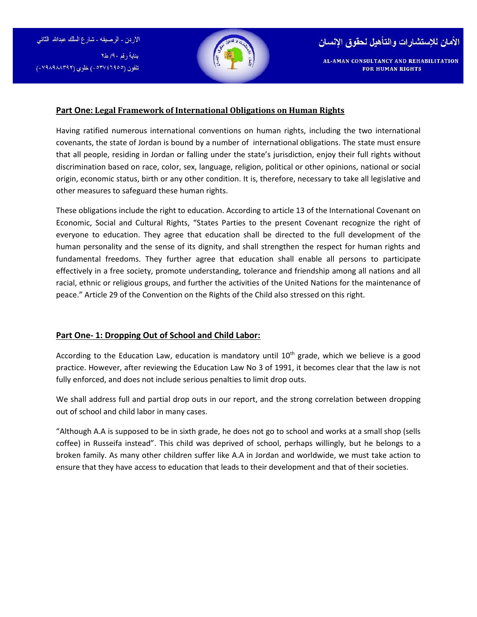الاردن - الرصيفه - شارع الملك عبدالله الثاني بناية رقم ٩٠/ ط٢ تلفون (۰۵۳۷٤٦٩٥٥) خلوی (۷۹۸۸۸۳۹۲۰)





#### **Part One: Legal Framework of International Obligations on Human Rights**

Having ratified numerous international conventions on human rights, including the two international covenants, the state of Jordan is bound by a number of international obligations. The state must ensure that all people, residing in Jordan or falling under the state's jurisdiction, enjoy their full rights without discrimination based on race, color, sex, language, religion, political or other opinions, national or social origin, economic status, birth or any other condition. It is, therefore, necessary to take all legislative and other measures to safeguard these human rights.

These obligations include the right to education. According to article 13 of the International Covenant on Economic, Social and Cultural Rights, "States Parties to the present Covenant recognize the right of everyone to education. They agree that education shall be directed to the full development of the human personality and the sense of its dignity, and shall strengthen the respect for human rights and fundamental freedoms. They further agree that education shall enable all persons to participate effectively in a free society, promote understanding, tolerance and friendship among all nations and all racial, ethnic or religious groups, and further the activities of the United Nations for the maintenance of peace." Article 29 of the Convention on the Rights of the Child also stressed on this right.

#### **Part One- 1: Dropping Out of School and Child Labor:**

According to the Education Law, education is mandatory until 10<sup>th</sup> grade, which we believe is a good practice. However, after reviewing the Education Law No 3 of 1991, it becomes clear that the law is not fully enforced, and does not include serious penalties to limit drop outs.

We shall address full and partial drop outs in our report, and the strong correlation between dropping out of school and child labor in many cases.

"Although A.A is supposed to be in sixth grade, he does not go to school and works at a small shop (sells coffee) in Russeifa instead". This child was deprived of school, perhaps willingly, but he belongs to a broken family. As many other children suffer like A.A in Jordan and worldwide, we must take action to ensure that they have access to education that leads to their development and that of their societies.